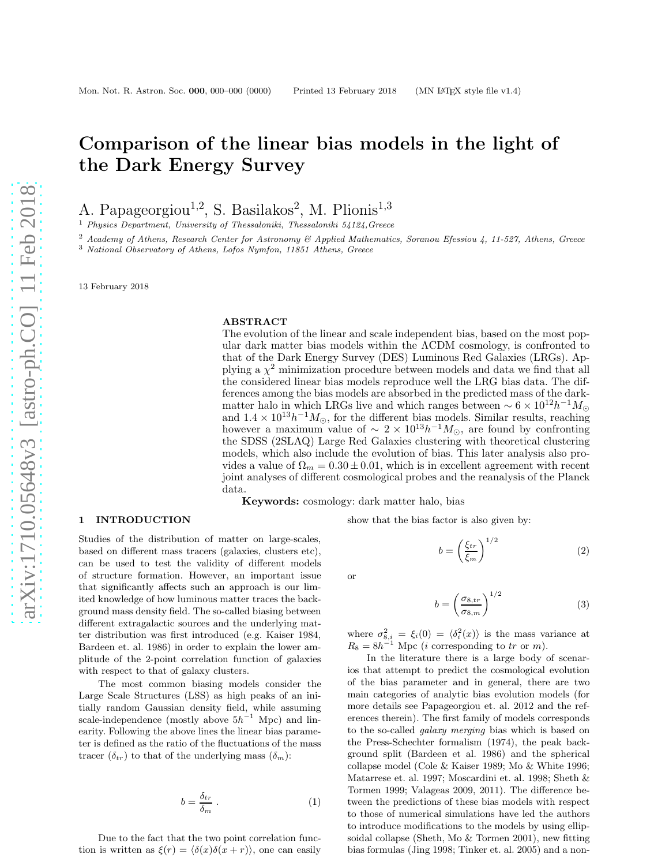# Comparison of the linear bias models in the light of the Dark Energy Survey

A. Papageorgiou<sup>1,2</sup>, S. Basilakos<sup>2</sup>, M. Plionis<sup>1,3</sup>

<sup>1</sup> *Physics Department, University of Thessaloniki, Thessaloniki 54124,Greece*

<sup>2</sup> *Academy of Athens, Research Center for Astronomy & Applied Mathematics, Soranou Efessiou 4, 11-527, Athens, Greece*

<sup>3</sup> *National Observatory of Athens, Lofos Nymfon, 11851 Athens, Greece*

13 February 2018

#### ABSTRACT

The evolution of the linear and scale independent bias, based on the most popular dark matter bias models within the ΛCDM cosmology, is confronted to that of the Dark Energy Survey (DES) Luminous Red Galaxies (LRGs). Applying a  $\chi^2$  minimization procedure between models and data we find that all the considered linear bias models reproduce well the LRG bias data. The differences among the bias models are absorbed in the predicted mass of the darkmatter halo in which LRGs live and which ranges between  $\sim 6 \times 10^{12} h^{-1} M_{\odot}$ and  $1.4 \times 10^{13} h^{-1} M_{\odot}$ , for the different bias models. Similar results, reaching however a maximum value of  $\sim 2 \times 10^{13} h^{-1} M_{\odot}$ , are found by confronting the SDSS (2SLAQ) Large Red Galaxies clustering with theoretical clustering models, which also include the evolution of bias. This later analysis also provides a value of  $\Omega_m = 0.30 \pm 0.01$ , which is in excellent agreement with recent joint analyses of different cosmological probes and the reanalysis of the Planck data.

Keywords: cosmology: dark matter halo, bias

#### 1 INTRODUCTION

Studies of the distribution of matter on large-scales, based on different mass tracers (galaxies, clusters etc), can be used to test the validity of different models of structure formation. However, an important issue that significantly affects such an approach is our limited knowledge of how luminous matter traces the background mass density field. The so-called biasing between different extragalactic sources and the underlying matter distribution was first introduced (e.g. Kaiser 1984, Bardeen et. al. 1986) in order to explain the lower amplitude of the 2-point correlation function of galaxies with respect to that of galaxy clusters.

The most common biasing models consider the Large Scale Structures (LSS) as high peaks of an initially random Gaussian density field, while assuming scale-independence (mostly above  $5h^{-1}$  Mpc) and linearity. Following the above lines the linear bias parameter is defined as the ratio of the fluctuations of the mass tracer  $(\delta_{tr})$  to that of the underlying mass  $(\delta_m)$ :

$$
b = \frac{\delta_{tr}}{\delta_m} \ . \tag{1}
$$

Due to the fact that the two point correlation function is written as  $\xi(r) = \langle \delta(x)\delta(x + r)\rangle$ , one can easily

or

$$
b = \left(\frac{\sigma_{8,tr}}{\sigma_{8,m}}\right)^{1/2} \tag{3}
$$

(2)

where  $\sigma_{8,i}^2 = \xi_i(0) = \langle \delta_i^2(x) \rangle$  is the mass variance at  $R_8 = 8h^{-1}$  Mpc (*i* corresponding to tr or m).

show that the bias factor is also given by:

 $b = \left(\frac{\xi_{tr}}{c}\right)$  $\xi_m$   $\setminus$ <sup>1/2</sup>

In the literature there is a large body of scenarios that attempt to predict the cosmological evolution of the bias parameter and in general, there are two main categories of analytic bias evolution models (for more details see Papageorgiou et. al. 2012 and the references therein). The first family of models corresponds to the so-called galaxy merging bias which is based on the Press-Schechter formalism (1974), the peak background split (Bardeen et al. 1986) and the spherical collapse model (Cole & Kaiser 1989; Mo & White 1996; Matarrese et. al. 1997; Moscardini et. al. 1998; Sheth & Tormen 1999; Valageas 2009, 2011). The difference between the predictions of these bias models with respect to those of numerical simulations have led the authors to introduce modifications to the models by using ellipsoidal collapse (Sheth, Mo & Tormen 2001), new fitting bias formulas (Jing 1998; Tinker et. al. 2005) and a non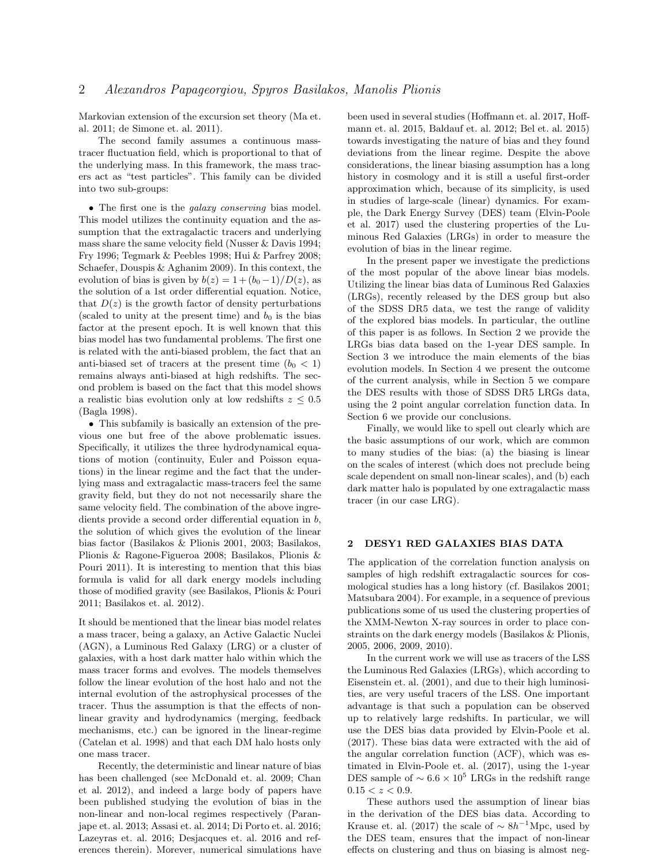Markovian extension of the excursion set theory (Ma et. al. 2011; de Simone et. al. 2011).

The second family assumes a continuous masstracer fluctuation field, which is proportional to that of the underlying mass. In this framework, the mass tracers act as "test particles". This family can be divided into two sub-groups:

• The first one is the *galaxy conserving* bias model. This model utilizes the continuity equation and the assumption that the extragalactic tracers and underlying mass share the same velocity field (Nusser & Davis 1994; Fry 1996; Tegmark & Peebles 1998; Hui & Parfrey 2008; Schaefer, Douspis & Aghanim 2009). In this context, the evolution of bias is given by  $b(z) = 1 + (b_0 - 1)/D(z)$ , as the solution of a 1st order differential equation. Notice, that  $D(z)$  is the growth factor of density perturbations (scaled to unity at the present time) and  $b_0$  is the bias factor at the present epoch. It is well known that this bias model has two fundamental problems. The first one is related with the anti-biased problem, the fact that an anti-biased set of tracers at the present time  $(b_0 < 1)$ remains always anti-biased at high redshifts. The second problem is based on the fact that this model shows a realistic bias evolution only at low redshifts  $z \leq 0.5$ (Bagla 1998).

• This subfamily is basically an extension of the previous one but free of the above problematic issues. Specifically, it utilizes the three hydrodynamical equations of motion (continuity, Euler and Poisson equations) in the linear regime and the fact that the underlying mass and extragalactic mass-tracers feel the same gravity field, but they do not not necessarily share the same velocity field. The combination of the above ingredients provide a second order differential equation in b, the solution of which gives the evolution of the linear bias factor (Basilakos & Plionis 2001, 2003; Basilakos, Plionis & Ragone-Figueroa 2008; Basilakos, Plionis & Pouri 2011). It is interesting to mention that this bias formula is valid for all dark energy models including those of modified gravity (see Basilakos, Plionis & Pouri 2011; Basilakos et. al. 2012).

It should be mentioned that the linear bias model relates a mass tracer, being a galaxy, an Active Galactic Nuclei (AGN), a Luminous Red Galaxy (LRG) or a cluster of galaxies, with a host dark matter halo within which the mass tracer forms and evolves. The models themselves follow the linear evolution of the host halo and not the internal evolution of the astrophysical processes of the tracer. Thus the assumption is that the effects of nonlinear gravity and hydrodynamics (merging, feedback mechanisms, etc.) can be ignored in the linear-regime (Catelan et al. 1998) and that each DM halo hosts only one mass tracer.

Recently, the deterministic and linear nature of bias has been challenged (see McDonald et. al. 2009; Chan et al. 2012), and indeed a large body of papers have been published studying the evolution of bias in the non-linear and non-local regimes respectively (Paranjape et. al. 2013; Assasi et. al. 2014; Di Porto et. al. 2016; Lazeyras et. al. 2016; Desjacques et. al. 2016 and references therein). Morever, numerical simulations have been used in several studies (Hoffmann et. al. 2017, Hoffmann et. al. 2015, Baldauf et. al. 2012; Bel et. al. 2015) towards investigating the nature of bias and they found deviations from the linear regime. Despite the above considerations, the linear biasing assumption has a long history in cosmology and it is still a useful first-order approximation which, because of its simplicity, is used in studies of large-scale (linear) dynamics. For example, the Dark Energy Survey (DES) team (Elvin-Poole et al. 2017) used the clustering properties of the Luminous Red Galaxies (LRGs) in order to measure the evolution of bias in the linear regime.

In the present paper we investigate the predictions of the most popular of the above linear bias models. Utilizing the linear bias data of Luminous Red Galaxies (LRGs), recently released by the DES group but also of the SDSS DR5 data, we test the range of validity of the explored bias models. In particular, the outline of this paper is as follows. In Section 2 we provide the LRGs bias data based on the 1-year DES sample. In Section 3 we introduce the main elements of the bias evolution models. In Section 4 we present the outcome of the current analysis, while in Section 5 we compare the DES results with those of SDSS DR5 LRGs data, using the 2 point angular correlation function data. In Section 6 we provide our conclusions.

Finally, we would like to spell out clearly which are the basic assumptions of our work, which are common to many studies of the bias: (a) the biasing is linear on the scales of interest (which does not preclude being scale dependent on small non-linear scales), and (b) each dark matter halo is populated by one extragalactic mass tracer (in our case LRG).

## 2 DESY1 RED GALAXIES BIAS DATA

The application of the correlation function analysis on samples of high redshift extragalactic sources for cosmological studies has a long history (cf. Basilakos 2001; Matsubara 2004). For example, in a sequence of previous publications some of us used the clustering properties of the XMM-Newton X-ray sources in order to place constraints on the dark energy models (Basilakos & Plionis, 2005, 2006, 2009, 2010).

In the current work we will use as tracers of the LSS the Luminous Red Galaxies (LRGs), which according to Eisenstein et. al. (2001), and due to their high luminosities, are very useful tracers of the LSS. One important advantage is that such a population can be observed up to relatively large redshifts. In particular, we will use the DES bias data provided by Elvin-Poole et al. (2017). These bias data were extracted with the aid of the angular correlation function (ACF), which was estimated in Elvin-Poole et. al. (2017), using the 1-year DES sample of  $\sim 6.6 \times 10^5$  LRGs in the redshift range  $0.15 < z < 0.9$ .

These authors used the assumption of linear bias in the derivation of the DES bias data. According to Krause et. al. (2017) the scale of  $\sim 8h^{-1}\text{Mpc}$ , used by the DES team, ensures that the impact of non-linear effects on clustering and thus on biasing is almost neg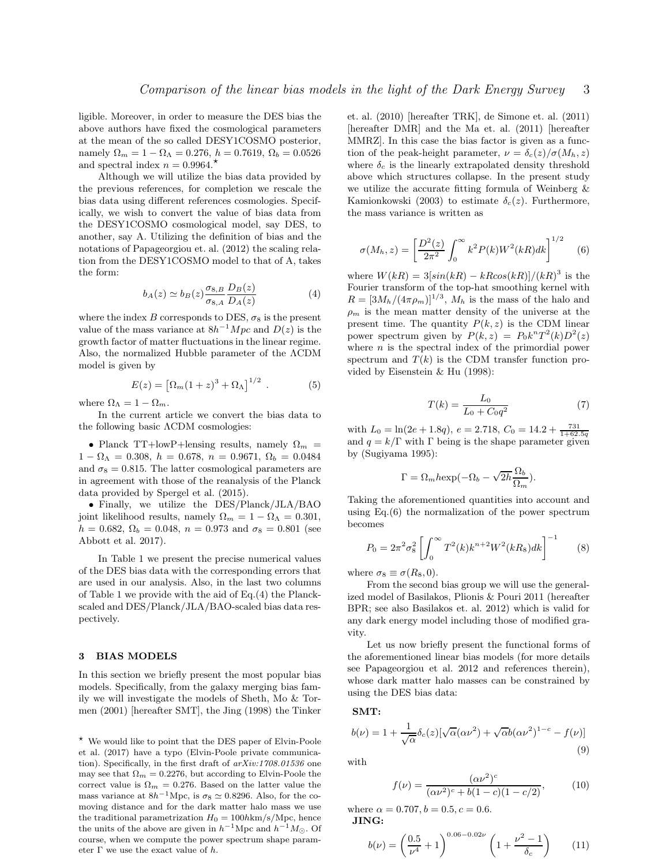ligible. Moreover, in order to measure the DES bias the above authors have fixed the cosmological parameters at the mean of the so called DESY1COSMO posterior, namely  $\Omega_m = 1 - \Omega_{\Lambda} = 0.276$ ,  $h = 0.7619$ ,  $\Omega_b = 0.0526$ and spectral index  $n = 0.9964$ .<sup>\*</sup>

Although we will utilize the bias data provided by the previous references, for completion we rescale the bias data using different references cosmologies. Specifically, we wish to convert the value of bias data from the DESY1COSMO cosmological model, say DES, to another, say A. Utilizing the definition of bias and the notations of Papageorgiou et. al. (2012) the scaling relation from the DESY1COSMO model to that of A, takes the form:

$$
b_A(z) \simeq b_B(z) \frac{\sigma_{8,B}}{\sigma_{8,A}} \frac{D_B(z)}{D_A(z)}\tag{4}
$$

where the index B corresponds to DES,  $\sigma_8$  is the present value of the mass variance at  $8h^{-1}Mpc$  and  $D(z)$  is the growth factor of matter fluctuations in the linear regime. Also, the normalized Hubble parameter of the ΛCDM model is given by

$$
E(z) = [\Omega_m (1+z)^3 + \Omega_{\Lambda}]^{1/2} . \tag{5}
$$

where  $\Omega_{\Lambda} = 1 - \Omega_m$ .

In the current article we convert the bias data to the following basic ΛCDM cosmologies:

• Planck TT+lowP+lensing results, namely  $\Omega_m$  =  $1 - \Omega_{\Lambda} = 0.308, h = 0.678, n = 0.9671, \Omega_b = 0.0484$ and  $\sigma_8 = 0.815$ . The latter cosmological parameters are in agreement with those of the reanalysis of the Planck data provided by Spergel et al. (2015).

• Finally, we utilize the DES/Planck/JLA/BAO joint likelihood results, namely  $\Omega_m = 1 - \Omega_\Lambda = 0.301$ ,  $h = 0.682$ ,  $\Omega_b = 0.048$ ,  $n = 0.973$  and  $\sigma_8 = 0.801$  (see Abbott et al. 2017).

In Table 1 we present the precise numerical values of the DES bias data with the corresponding errors that are used in our analysis. Also, in the last two columns of Table 1 we provide with the aid of Eq.(4) the Planckscaled and DES/Planck/JLA/BAO-scaled bias data respectively.

## 3 BIAS MODELS

In this section we briefly present the most popular bias models. Specifically, from the galaxy merging bias family we will investigate the models of Sheth, Mo & Tormen (2001) [hereafter SMT], the Jing (1998) the Tinker

⋆ We would like to point that the DES paper of Elvin-Poole et al. (2017) have a typo (Elvin-Poole private communication). Specifically, in the first draft of *arXiv:1708.01536* one may see that  $\Omega_m = 0.2276$ , but according to Elvin-Poole the correct value is  $\Omega_m = 0.276$ . Based on the latter value the mass variance at  $8h^{-1}\text{Mpc}$ , is  $\sigma_8 \simeq 0.8296$ . Also, for the comoving distance and for the dark matter halo mass we use the traditional parametrization  $H_0 = 100h \text{km/s/Mpc}$ , hence the units of the above are given in  $h^{-1}$ Mpc and  $h^{-1}M_{\odot}$ . Of course, when we compute the power spectrum shape parameter  $\Gamma$  we use the exact value of h.

et. al. (2010) [hereafter TRK], de Simone et. al. (2011) [hereafter DMR] and the Ma et. al. (2011) [hereafter MMRZ]. In this case the bias factor is given as a function of the peak-height parameter,  $\nu = \delta_c(z)/\sigma(M_h, z)$ where  $\delta_c$  is the linearly extrapolated density threshold above which structures collapse. In the present study we utilize the accurate fitting formula of Weinberg & Kamionkowski (2003) to estimate  $\delta_c(z)$ . Furthermore, the mass variance is written as

$$
\sigma(M_h, z) = \left[\frac{D^2(z)}{2\pi^2} \int_0^\infty k^2 P(k) W^2(kR) dk\right]^{1/2} \tag{6}
$$

where  $W(kR) = 3[sin(kR) - kRcos(kR)]/(kR)^3$  is the Fourier transform of the top-hat smoothing kernel with  $R = \left[3M_h/(4\pi\rho_m)\right]^{1/3}$ ,  $M_h$  is the mass of the halo and  $\rho_m$  is the mean matter density of the universe at the present time. The quantity  $P(k, z)$  is the CDM linear power spectrum given by  $P(k, z) = P_0 k^n T^2(k) D^2(z)$ where  $n$  is the spectral index of the primordial power spectrum and  $T(k)$  is the CDM transfer function provided by Eisenstein & Hu (1998):

$$
T(k) = \frac{L_0}{L_0 + C_0 q^2} \tag{7}
$$

with  $L_0 = \ln(2e + 1.8q)$ ,  $e = 2.718$ ,  $C_0 = 14.2 + \frac{731}{1+62.5q}$ and  $q = k/\Gamma$  with  $\Gamma$  being is the shape parameter given by (Sugiyama 1995):

$$
\Gamma = \Omega_m h \exp(-\Omega_b - \sqrt{2h} \frac{\Omega_b}{\Omega_m}).
$$

Taking the aforementioned quantities into account and using  $Eq.(6)$  the normalization of the power spectrum becomes

$$
P_0 = 2\pi^2 \sigma_8^2 \left[ \int_0^\infty T^2(k) k^{n+2} W^2(kR_8) dk \right]^{-1} \tag{8}
$$

where  $\sigma_8 \equiv \sigma(R_8, 0)$ .

From the second bias group we will use the generalized model of Basilakos, Plionis & Pouri 2011 (hereafter BPR; see also Basilakos et. al. 2012) which is valid for any dark energy model including those of modified gravity.

Let us now briefly present the functional forms of the aforementioned linear bias models (for more details see Papageorgiou et al. 2012 and references therein), whose dark matter halo masses can be constrained by using the DES bias data:

SMT:

$$
b(\nu) = 1 + \frac{1}{\sqrt{\alpha}} \delta_c(z) [\sqrt{\alpha} (\alpha \nu^2) + \sqrt{\alpha} b (\alpha \nu^2)^{1-c} - f(\nu)]
$$
\n(9)

with

$$
f(\nu) = \frac{(\alpha \nu^2)^c}{(\alpha \nu^2)^c + b(1-c)(1-c/2)},
$$
 (10)

where  $\alpha = 0.707, b = 0.5, c = 0.6$ . JING:

$$
b(\nu) = \left(\frac{0.5}{\nu^4} + 1\right)^{0.06 - 0.02\nu} \left(1 + \frac{\nu^2 - 1}{\delta_c}\right) \tag{11}
$$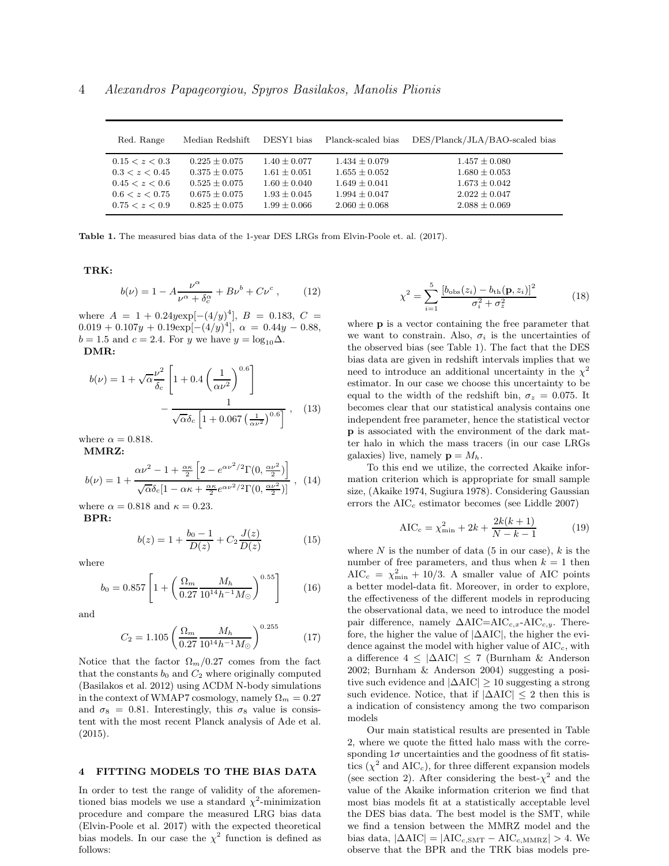| Red. Range     | Median Redshift | DESY1 bias     | Planck-scaled bias | DES/Planck/JLA/BAO-scaled bias |
|----------------|-----------------|----------------|--------------------|--------------------------------|
| 0.15 < z < 0.3 | $0.225 + 0.075$ | $1.40 + 0.077$ | $1.434 \pm 0.079$  | $1.457 \pm 0.080$              |
| 0.3 < z < 0.45 | $0.375 + 0.075$ | $1.61 + 0.051$ | $1.655 + 0.052$    | $1.680 \pm 0.053$              |
| 0.45 < z < 0.6 | $0.525 + 0.075$ | $1.60 + 0.040$ | $1.649 + 0.041$    | $1.673 \pm 0.042$              |
| 0.6 < z < 0.75 | $0.675 + 0.075$ | $1.93 + 0.045$ | $1.994 \pm 0.047$  | $2.022 \pm 0.047$              |
| 0.75 < z < 0.9 | $0.825 + 0.075$ | $1.99 + 0.066$ | $2.060 \pm 0.068$  | $2.088 \pm 0.069$              |

Table 1. The measured bias data of the 1-year DES LRGs from Elvin-Poole et. al. (2017).

TRK:

$$
b(\nu) = 1 - A \frac{\nu^{\alpha}}{\nu^{\alpha} + \delta_c^{\alpha}} + B\nu^{b} + C\nu^{c} , \qquad (12)
$$

where  $A = 1 + 0.24$ yexp[ $-(4/y)^4$ ],  $B = 0.183, C =$  $0.019 + 0.107y + 0.19 \exp[-(4/y)^4], \ \alpha = 0.44y - 0.88,$  $b = 1.5$  and  $c = 2.4$ . For y we have  $y = log_{10} \Delta$ .

DMR:

$$
b(\nu) = 1 + \sqrt{\alpha} \frac{\nu^2}{\delta_c} \left[ 1 + 0.4 \left( \frac{1}{\alpha \nu^2} \right)^{0.6} \right] - \frac{1}{\sqrt{\alpha} \delta_c \left[ 1 + 0.067 \left( \frac{1}{\alpha \nu^2} \right)^{0.6} \right]} , \quad (13)
$$

where  $\alpha = 0.818$ . MMRZ:

$$
b(\nu) = 1 + \frac{\alpha \nu^2 - 1 + \frac{\alpha \kappa}{2} \left[ 2 - e^{\alpha \nu^2/2} \Gamma(0, \frac{\alpha \nu^2}{2}) \right]}{\sqrt{\alpha} \delta_c [1 - \alpha \kappa + \frac{\alpha \kappa}{2} e^{\alpha \nu^2/2} \Gamma(0, \frac{\alpha \nu^2}{2})]}, \quad (14)
$$

where  $\alpha = 0.818$  and  $\kappa = 0.23$ . BPR:

$$
b(z) = 1 + \frac{b_0 - 1}{D(z)} + C_2 \frac{J(z)}{D(z)}
$$
(15)

where

$$
b_0 = 0.857 \left[ 1 + \left( \frac{\Omega_m}{0.27} \frac{M_h}{10^{14} h^{-1} M_\odot} \right)^{0.55} \right] \tag{16}
$$

and

$$
C_2 = 1.105 \left( \frac{\Omega_m}{0.27} \frac{M_h}{10^{14} h^{-1} M_\odot} \right)^{0.255} \tag{17}
$$

Notice that the factor  $\Omega_m/0.27$  comes from the fact that the constants  $b_0$  and  $C_2$  where originally computed (Basilakos et al. 2012) using ΛCDM N-body simulations in the context of WMAP7 cosmology, namely  $\Omega_m = 0.27$ and  $\sigma_8 = 0.81$ . Interestingly, this  $\sigma_8$  value is consistent with the most recent Planck analysis of Ade et al. (2015).

## 4 FITTING MODELS TO THE BIAS DATA

In order to test the range of validity of the aforementioned bias models we use a standard  $\chi^2$ -minimization procedure and compare the measured LRG bias data (Elvin-Poole et al. 2017) with the expected theoretical bias models. In our case the  $\chi^2$  function is defined as follows:

$$
\chi^2 = \sum_{i=1}^{5} \frac{[b_{\text{obs}}(z_i) - b_{\text{th}}(\mathbf{p}, z_i)]^2}{\sigma_i^2 + \sigma_z^2}
$$
(18)

where **p** is a vector containing the free parameter that we want to constrain. Also,  $\sigma_i$  is the uncertainties of the observed bias (see Table 1). The fact that the DES bias data are given in redshift intervals implies that we need to introduce an additional uncertainty in the  $\chi^2$ estimator. In our case we choose this uncertainty to be equal to the width of the redshift bin,  $\sigma_z = 0.075$ . It becomes clear that our statistical analysis contains one independent free parameter, hence the statistical vector p is associated with the environment of the dark matter halo in which the mass tracers (in our case LRGs galaxies) live, namely  $\mathbf{p} = M_h$ .

To this end we utilize, the corrected Akaike information criterion which is appropriate for small sample size, (Akaike 1974, Sugiura 1978). Considering Gaussian errors the  $AIC<sub>c</sub>$  estimator becomes (see Liddle 2007)

$$
AIC_c = \chi_{\min}^2 + 2k + \frac{2k(k+1)}{N-k-1}
$$
 (19)

where N is the number of data  $(5 \text{ in our case})$ , k is the number of free parameters, and thus when  $k = 1$  then  $AIC_c = \chi_{\text{min}}^2 + 10/3$ . A smaller value of AIC points a better model-data fit. Moreover, in order to explore, the effectiveness of the different models in reproducing the observational data, we need to introduce the model pair difference, namely  $\Delta AIC=\text{AIC}_{c,x}$ -AIC<sub>c,y</sub>. Therefore, the higher the value of |∆AIC|, the higher the evidence against the model with higher value of  $AIC_c$ , with a difference 4 ≤ |∆AIC| ≤ 7 (Burnham & Anderson 2002; Burnham & Anderson 2004) suggesting a positive such evidence and  $|\Delta AIC| \geq 10$  suggesting a strong such evidence. Notice, that if  $|\Delta AIC| \leq 2$  then this is a indication of consistency among the two comparison models

Our main statistical results are presented in Table 2, where we quote the fitted halo mass with the corresponding  $1\sigma$  uncertainties and the goodness of fit statistics ( $\chi^2$  and AIC<sub>c</sub>), for three different expansion models (see section 2). After considering the best- $\chi^2$  and the value of the Akaike information criterion we find that most bias models fit at a statistically acceptable level the DES bias data. The best model is the SMT, while we find a tension between the MMRZ model and the bias data,  $|\Delta AIC| = |AIC_{c, SMT} - AIC_{c, MMRZ}| > 4$ . We observe that the BPR and the TRK bias models pre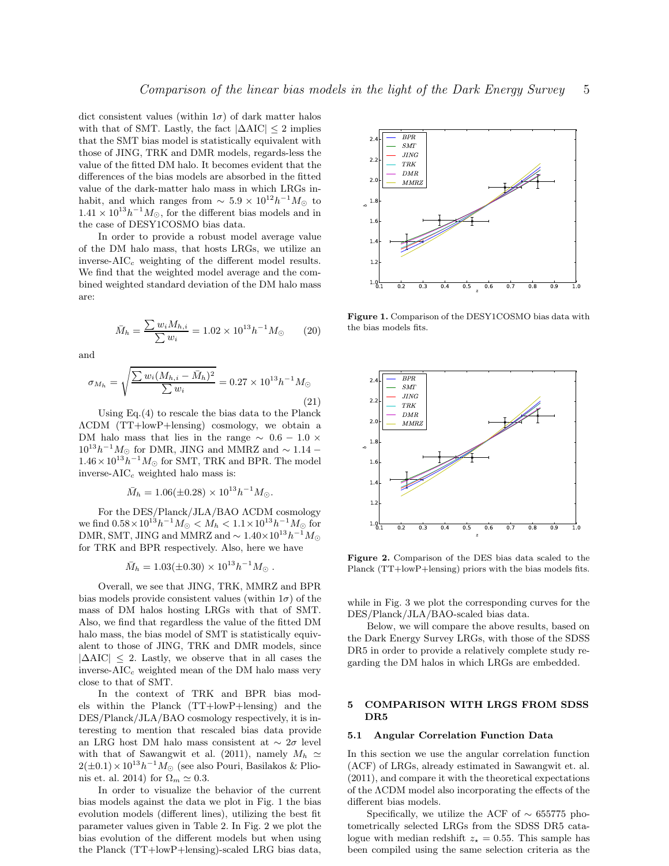dict consistent values (within  $1\sigma$ ) of dark matter halos with that of SMT. Lastly, the fact  $|\Delta AIC| \leq 2$  implies that the SMT bias model is statistically equivalent with those of JING, TRK and DMR models, regards-less the value of the fitted DM halo. It becomes evident that the differences of the bias models are absorbed in the fitted value of the dark-matter halo mass in which LRGs inhabit, and which ranges from  $\sim 5.9 \times 10^{12} h^{-1} M_{\odot}$  to  $1.41 \times 10^{13} h^{-1} M_{\odot}$ , for the different bias models and in the case of DESY1COSMO bias data.

In order to provide a robust model average value of the DM halo mass, that hosts LRGs, we utilize an inverse- $AIC_c$  weighting of the different model results. We find that the weighted model average and the combined weighted standard deviation of the DM halo mass are:

$$
\bar{M}_h = \frac{\sum w_i M_{h,i}}{\sum w_i} = 1.02 \times 10^{13} h^{-1} M_\odot \qquad (20)
$$

and

$$
\sigma_{M_h} = \sqrt{\frac{\sum w_i (M_{h,i} - \bar{M}_h)^2}{\sum w_i}} = 0.27 \times 10^{13} h^{-1} M_{\odot}
$$
\n(21)

Using Eq.(4) to rescale the bias data to the Planck ΛCDM (TT+lowP+lensing) cosmology, we obtain a DM halo mass that lies in the range  $\sim$  0.6 − 1.0  $\times$  $10^{13}h^{-1}M_{\odot}$  for DMR, JING and MMRZ and  $\sim 1.14 1.46 \times 10^{13} h^{-1} M_{\odot}$  for SMT, TRK and BPR. The model inverse- $AIC_c$  weighted halo mass is:

$$
\bar{M}_h = 1.06(\pm 0.28) \times 10^{13} h^{-1} M_\odot.
$$

For the DES/Planck/JLA/BAO ΛCDM cosmology we find  $0.58 \times 10^{13} h^{-1} M_{\odot} < M_h < 1.1 \times 10^{13} h^{-1} M_{\odot}$  for DMR, SMT, JING and MMRZ and  $\sim 1.40 \times 10^{13} h^{-1} M_{\odot}$ for TRK and BPR respectively. Also, here we have

$$
\bar{M}_h = 1.03(\pm 0.30) \times 10^{13} h^{-1} M_\odot.
$$

Overall, we see that JING, TRK, MMRZ and BPR bias models provide consistent values (within  $1\sigma$ ) of the mass of DM halos hosting LRGs with that of SMT. Also, we find that regardless the value of the fitted DM halo mass, the bias model of SMT is statistically equivalent to those of JING, TRK and DMR models, since  $|\Delta AIC| \leq 2$ . Lastly, we observe that in all cases the inverse- $AIC_c$  weighted mean of the DM halo mass very close to that of SMT.

In the context of TRK and BPR bias models within the Planck (TT+lowP+lensing) and the DES/Planck/JLA/BAO cosmology respectively, it is interesting to mention that rescaled bias data provide an LRG host DM halo mass consistent at  $\sim 2\sigma$  level with that of Sawangwit et al. (2011), namely  $M_h \simeq$  $2(\pm 0.1) \times 10^{13} h^{-1} M_{\odot}$  (see also Pouri, Basilakos & Plionis et. al. 2014) for  $\Omega_m \simeq 0.3$ .

In order to visualize the behavior of the current bias models against the data we plot in Fig. 1 the bias evolution models (different lines), utilizing the best fit parameter values given in Table 2. In Fig. 2 we plot the bias evolution of the different models but when using the Planck (TT+lowP+lensing)-scaled LRG bias data,



Figure 1. Comparison of the DESY1COSMO bias data with the bias models fits.



Figure 2. Comparison of the DES bias data scaled to the Planck (TT+lowP+lensing) priors with the bias models fits.

while in Fig. 3 we plot the corresponding curves for the DES/Planck/JLA/BAO-scaled bias data.

Below, we will compare the above results, based on the Dark Energy Survey LRGs, with those of the SDSS DR5 in order to provide a relatively complete study regarding the DM halos in which LRGs are embedded.

## 5 COMPARISON WITH LRGS FROM SDSS DR5

#### 5.1 Angular Correlation Function Data

In this section we use the angular correlation function (ACF) of LRGs, already estimated in Sawangwit et. al. (2011), and compare it with the theoretical expectations of the ΛCDM model also incorporating the effects of the different bias models.

Specifically, we utilize the ACF of  $\sim$  655775 photometrically selected LRGs from the SDSS DR5 catalogue with median redshift  $z_{\star} = 0.55$ . This sample has been compiled using the same selection criteria as the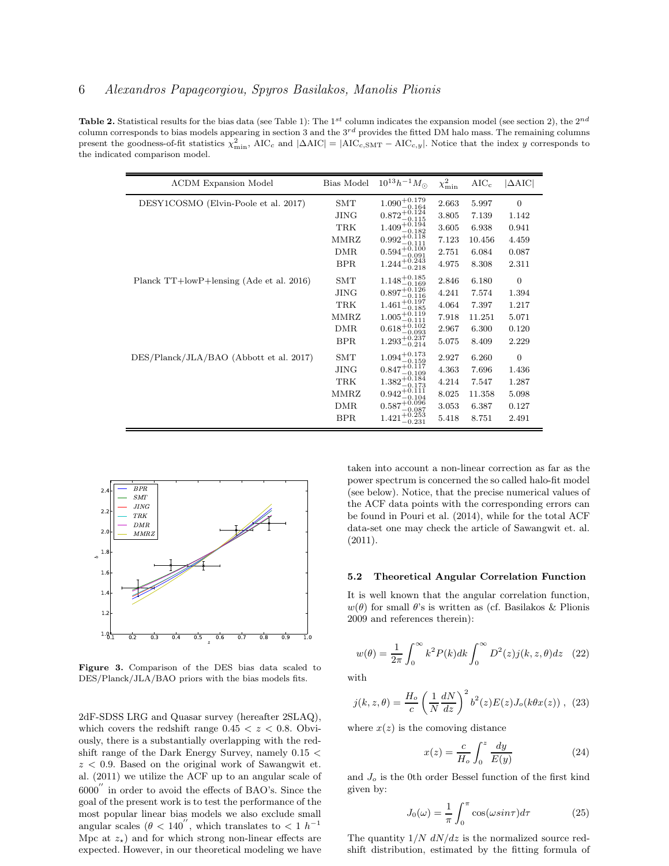**Table 2.** Statistical results for the bias data (see Table 1): The 1<sup>st</sup> column indicates the expansion model (see section 2), the  $2^{nd}$ column corresponds to bias models appearing in section 3 and the  $3^{rd}$  provides the fitted DM halo mass. The remaining columns present the goodness-of-fit statistics  $\chi^2_{\rm min}$ , AIC<sub>c</sub> and  $|\Delta \text{AIC}| = |\text{AIC}_{c, \text{SMT}} - \text{AIC}_{c,y}|$ . Notice that the index y corresponds to the indicated comparison model.

| <b>ACDM Expansion Model</b>              | Bias Model  | $10^{13} h^{-1} M_{\odot}$                       | $\chi^2_{\rm min}$ | $AIC_c$ | $ \Delta AIC $ |
|------------------------------------------|-------------|--------------------------------------------------|--------------------|---------|----------------|
| DESY1COSMO (Elvin-Poole et al. 2017)     | <b>SMT</b>  | $1.090^{+0.179}_{-0.164}$                        | 2.663              | 5.997   | $\overline{0}$ |
|                                          | <b>JING</b> | $0.872^{+0.124}_{-0.124}$<br>$-0.115$            | 3.805              | 7.139   | 1.142          |
|                                          | <b>TRK</b>  | $1.409^{+\check{0}.\check{1}\check{9}\check{4}}$ | 3.605              | 6.938   | 0.941          |
|                                          | MMRZ        | $0.992^{+0.118}_{-0.115}$<br>0.111               | 7.123              | 10.456  | 4.459          |
|                                          | <b>DMR</b>  | $0.594_{-0.091}^{+0.100}$                        | 2.751              | 6.084   | 0.087          |
|                                          | <b>BPR</b>  | $1.244_{-0.218}^{+0.243}$                        | 4.975              | 8.308   | 2.311          |
| Planck TT+lowP+lensing (Ade et al. 2016) | SMT         | $1.148^{+0.185}_{-0.169}$                        | 2.846              | 6.180   | $\overline{0}$ |
|                                          | <b>JING</b> | $0.897^{+\overset{\circ}{0}.126}$                | 4.241              | 7.574   | 1.394          |
|                                          | <b>TRK</b>  | $1.461^{+0.197}_{-0.197}$                        | 4.064              | 7.397   | 1.217          |
|                                          | MMRZ        | $1.005_{-0.111}^{+0.119}$                        | 7.918              | 11.251  | 5.071          |
|                                          | <b>DMR</b>  | $0.618^{+0.102}_{-0.002}$                        | 2.967              | 6.300   | 0.120          |
|                                          | <b>BPR</b>  | $1.293^{+0.237}_{-0.214}$                        | 5.075              | 8.409   | 2.229          |
| DES/Planck/JLA/BAO (Abbott et al. 2017)  | <b>SMT</b>  | $1.094^{+0.173}_{-0.172}$<br>$-0.159$            | 2.927              | 6.260   | $\overline{0}$ |
|                                          | <b>JING</b> | $0.847^{+0.117}_{-0.127}$<br>$-0.109$            | 4.363              | 7.696   | 1.436          |
|                                          | <b>TRK</b>  | $1.382^{+0.184}_{-0.172}$                        | 4.214              | 7.547   | 1.287          |
|                                          | MMRZ        | $0.942^{+0.111}_{-0.111}$<br>$-0.104$            | 8.025              | 11.358  | 5.098          |
|                                          | <b>DMR</b>  | $0.587^{+0.096}_{-0.087}$                        | 3.053              | 6.387   | 0.127          |
|                                          | <b>BPR</b>  | $1.421_{-0.253}^{+0.253}$<br>$-0.231$            | 5.418              | 8.751   | 2.491          |



Figure 3. Comparison of the DES bias data scaled to DES/Planck/JLA/BAO priors with the bias models fits.

2dF-SDSS LRG and Quasar survey (hereafter 2SLAQ), which covers the redshift range  $0.45 < z < 0.8$ . Obviously, there is a substantially overlapping with the redshift range of the Dark Energy Survey, namely 0.15 <  $z < 0.9$ . Based on the original work of Sawangwit et. al. (2011) we utilize the ACF up to an angular scale of 6000 ′′ in order to avoid the effects of BAO's. Since the goal of the present work is to test the performance of the most popular linear bias models we also exclude small angular scales ( $\theta$  < 140<sup>"</sup>, which translates to < 1 h<sup>-1</sup> Mpc at  $z_{\star}$ ) and for which strong non-linear effects are expected. However, in our theoretical modeling we have taken into account a non-linear correction as far as the power spectrum is concerned the so called halo-fit model (see below). Notice, that the precise numerical values of the ACF data points with the corresponding errors can be found in Pouri et al. (2014), while for the total ACF data-set one may check the article of Sawangwit et. al. (2011).

#### 5.2 Theoretical Angular Correlation Function

It is well known that the angular correlation function,  $w(\theta)$  for small  $\theta$ 's is written as (cf. Basilakos & Plionis 2009 and references therein):

$$
w(\theta) = \frac{1}{2\pi} \int_0^\infty k^2 P(k) dk \int_0^\infty D^2(z) j(k, z, \theta) dz \quad (22)
$$

with

$$
j(k, z, \theta) = \frac{H_o}{c} \left(\frac{1}{N} \frac{dN}{dz}\right)^2 b^2(z) E(z) J_o(k\theta x(z)) ,
$$
 (23)

where  $x(z)$  is the comoving distance

$$
x(z) = \frac{c}{H_o} \int_0^z \frac{dy}{E(y)}\tag{24}
$$

and  $J<sub>o</sub>$  is the 0th order Bessel function of the first kind given by:

$$
J_0(\omega) = \frac{1}{\pi} \int_0^{\pi} \cos(\omega \sin \tau) d\tau \tag{25}
$$

The quantity  $1/N dN/dz$  is the normalized source redshift distribution, estimated by the fitting formula of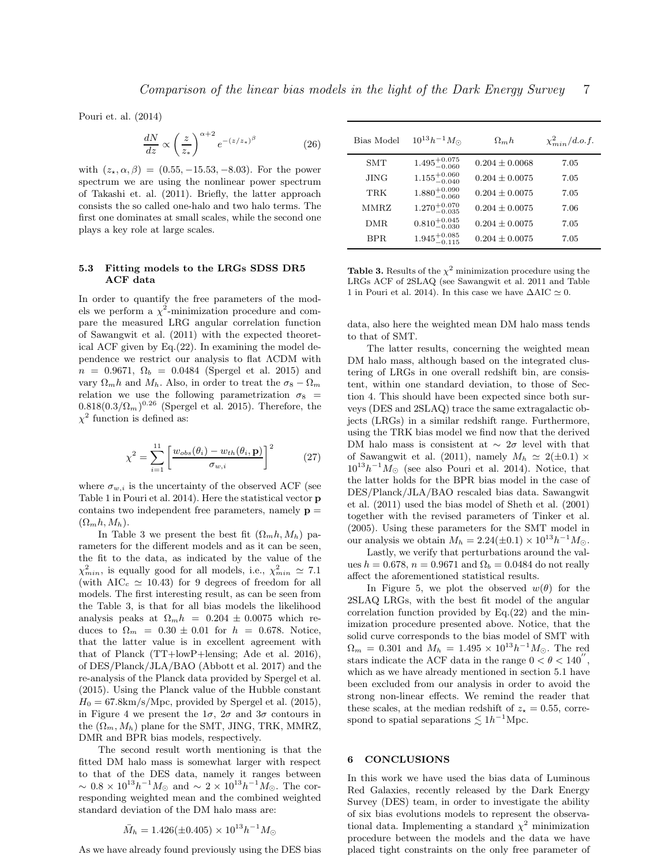Pouri et. al. (2014)

$$
\frac{dN}{dz} \propto \left(\frac{z}{z_*}\right)^{\alpha+2} e^{-(z/z_*)^{\beta}} \tag{26}
$$

with  $(z_*, \alpha, \beta) = (0.55, -15.53, -8.03)$ . For the power spectrum we are using the nonlinear power spectrum of Takashi et. al. (2011). Briefly, the latter approach consists the so called one-halo and two halo terms. The first one dominates at small scales, while the second one plays a key role at large scales.

## 5.3 Fitting models to the LRGs SDSS DR5 ACF data

In order to quantify the free parameters of the models we perform a  $\chi^2$ -minimization procedure and compare the measured LRG angular correlation function of Sawangwit et al. (2011) with the expected theoretical ACF given by Eq.(22). In examining the model dependence we restrict our analysis to flat ΛCDM with  $n = 0.9671, \Omega_b = 0.0484$  (Spergel et al. 2015) and vary  $\Omega_m h$  and  $M_h$ . Also, in order to treat the  $\sigma_8 - \Omega_m$ relation we use the following parametrization  $\sigma_8$  =  $0.818(0.3/\Omega_m)^{0.26}$  (Spergel et al. 2015). Therefore, the  $\chi^2$  function is defined as:

$$
\chi^2 = \sum_{i=1}^{11} \left[ \frac{w_{obs}(\theta_i) - w_{th}(\theta_i, \mathbf{p})}{\sigma_{w,i}} \right]^2 \tag{27}
$$

where  $\sigma_{w,i}$  is the uncertainty of the observed ACF (see Table 1 in Pouri et al. 2014). Here the statistical vector p contains two independent free parameters, namely  $\mathbf{p} =$  $(\Omega_m h, M_h)$ .

In Table 3 we present the best fit  $(\Omega_m h, M_h)$  parameters for the different models and as it can be seen, the fit to the data, as indicated by the value of the  $\chi^2_{min}$ , is equally good for all models, i.e.,  $\chi^2_{min} \simeq 7.1$ (with  $AIC_c \simeq 10.43$ ) for 9 degrees of freedom for all models. The first interesting result, as can be seen from the Table 3, is that for all bias models the likelihood analysis peaks at  $\Omega_m h = 0.204 \pm 0.0075$  which reduces to  $\Omega_m = 0.30 \pm 0.01$  for  $h = 0.678$ . Notice, that the latter value is in excellent agreement with that of Planck (TT+lowP+lensing; Ade et al. 2016), of DES/Planck/JLA/BAO (Abbott et al. 2017) and the re-analysis of the Planck data provided by Spergel et al. (2015). Using the Planck value of the Hubble constant  $H_0 = 67.8 \text{km/s/Mpc}$ , provided by Spergel et al. (2015), in Figure 4 we present the  $1\sigma$ ,  $2\sigma$  and  $3\sigma$  contours in the  $(\Omega_m, M_h)$  plane for the SMT, JING, TRK, MMRZ, DMR and BPR bias models, respectively.

The second result worth mentioning is that the fitted DM halo mass is somewhat larger with respect to that of the DES data, namely it ranges between  $\sim 0.8 \times 10^{13} h^{-1} M_{\odot}$  and  $\sim 2 \times 10^{13} h^{-1} M_{\odot}$ . The corresponding weighted mean and the combined weighted standard deviation of the DM halo mass are:

$$
\bar{M}_h = 1.426(\pm 0.405) \times 10^{13} h^{-1} M_{\odot}
$$

As we have already found previously using the DES bias

| Bias Model | $10^{13}h^{-1}M_{\odot}$  | $\Omega_m h$       | $\chi^2_{min}/d.o.f.$ |
|------------|---------------------------|--------------------|-----------------------|
| SMT        | $1.495^{+0.075}_{-0.060}$ | $0.204 \pm 0.0068$ | 7.05                  |
| JING       | $1.155^{+0.060}_{-0.040}$ | $0.204 + 0.0075$   | 7.05                  |
| TRK        | $1.880^{+0.090}_{-0.060}$ | $0.204 \pm 0.0075$ | 7.05                  |
| MMRZ       | $1.270^{+0.070}_{-0.035}$ | $0.204 + 0.0075$   | 7.06                  |
| DMR.       | $0.810^{+0.045}_{-0.030}$ | $0.204 \pm 0.0075$ | 7.05                  |
| BPR.       | $1.945^{+0.085}_{-0.115}$ | $0.204 \pm 0.0075$ | 7.05                  |

**Table 3.** Results of the  $\chi^2$  minimization procedure using the LRGs ACF of 2SLAQ (see Sawangwit et al. 2011 and Table 1 in Pouri et al. 2014). In this case we have  $\Delta AIC \simeq 0$ .

data, also here the weighted mean DM halo mass tends to that of SMT.

The latter results, concerning the weighted mean DM halo mass, although based on the integrated clustering of LRGs in one overall redshift bin, are consistent, within one standard deviation, to those of Section 4. This should have been expected since both surveys (DES and 2SLAQ) trace the same extragalactic objects (LRGs) in a similar redshift range. Furthermore, using the TRK bias model we find now that the derived DM halo mass is consistent at  $\sim 2\sigma$  level with that of Sawangwit et al. (2011), namely  $M_h \simeq 2(\pm 0.1) \times$  $10^{13}h^{-1}M_{\odot}$  (see also Pouri et al. 2014). Notice, that the latter holds for the BPR bias model in the case of DES/Planck/JLA/BAO rescaled bias data. Sawangwit et al. (2011) used the bias model of Sheth et al. (2001) together with the revised parameters of Tinker et al. (2005). Using these parameters for the SMT model in our analysis we obtain  $M_h = 2.24(\pm 0.1) \times 10^{13} h^{-1} M_{\odot}$ .

Lastly, we verify that perturbations around the values  $h = 0.678$ ,  $n = 0.9671$  and  $\Omega_b = 0.0484$  do not really affect the aforementioned statistical results.

In Figure 5, we plot the observed  $w(\theta)$  for the 2SLAQ LRGs, with the best fit model of the angular correlation function provided by  $Eq.(22)$  and the minimization procedure presented above. Notice, that the solid curve corresponds to the bias model of SMT with  $\Omega_m = 0.301$  and  $M_h = 1.495 \times 10^{13} h^{-1} M_{\odot}$ . The red stars indicate the ACF data in the range  $0 < \theta < 140$ , which as we have already mentioned in section 5.1 have been excluded from our analysis in order to avoid the strong non-linear effects. We remind the reader that these scales, at the median redshift of  $z_{\star} = 0.55$ , correspond to spatial separations  $\lesssim 1h^{-1}\text{Mpc}$ .

### 6 CONCLUSIONS

In this work we have used the bias data of Luminous Red Galaxies, recently released by the Dark Energy Survey (DES) team, in order to investigate the ability of six bias evolutions models to represent the observational data. Implementing a standard  $\chi^2$  minimization procedure between the models and the data we have placed tight constraints on the only free parameter of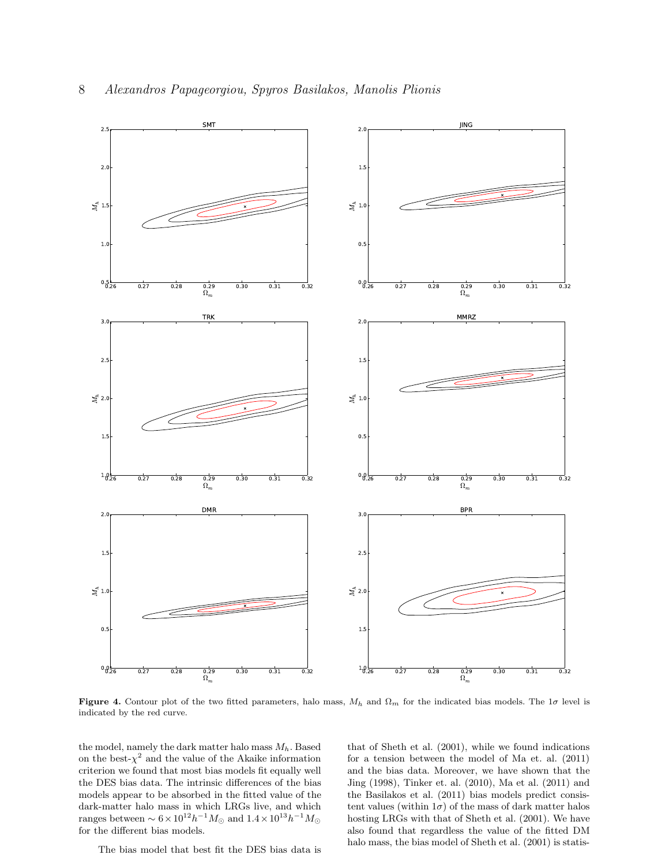

Figure 4. Contour plot of the two fitted parameters, halo mass,  $M_h$  and  $\Omega_m$  for the indicated bias models. The 1 $\sigma$  level is indicated by the red curve.

the model, namely the dark matter halo mass  $M_h$ . Based on the best- $\chi^2$  and the value of the Akaike information criterion we found that most bias models fit equally well the DES bias data. The intrinsic differences of the bias models appear to be absorbed in the fitted value of the dark-matter halo mass in which LRGs live, and which ranges between  $\sim 6 \times 10^{12} h^{-1} M_{\odot}$  and  $1.4 \times 10^{13} h^{-1} M_{\odot}$ for the different bias models.

The bias model that best fit the DES bias data is

that of Sheth et al. (2001), while we found indications for a tension between the model of Ma et. al. (2011) and the bias data. Moreover, we have shown that the Jing (1998), Tinker et. al. (2010), Ma et al. (2011) and the Basilakos et al. (2011) bias models predict consistent values (within  $1\sigma$ ) of the mass of dark matter halos hosting LRGs with that of Sheth et al. (2001). We have also found that regardless the value of the fitted DM halo mass, the bias model of Sheth et al. (2001) is statis-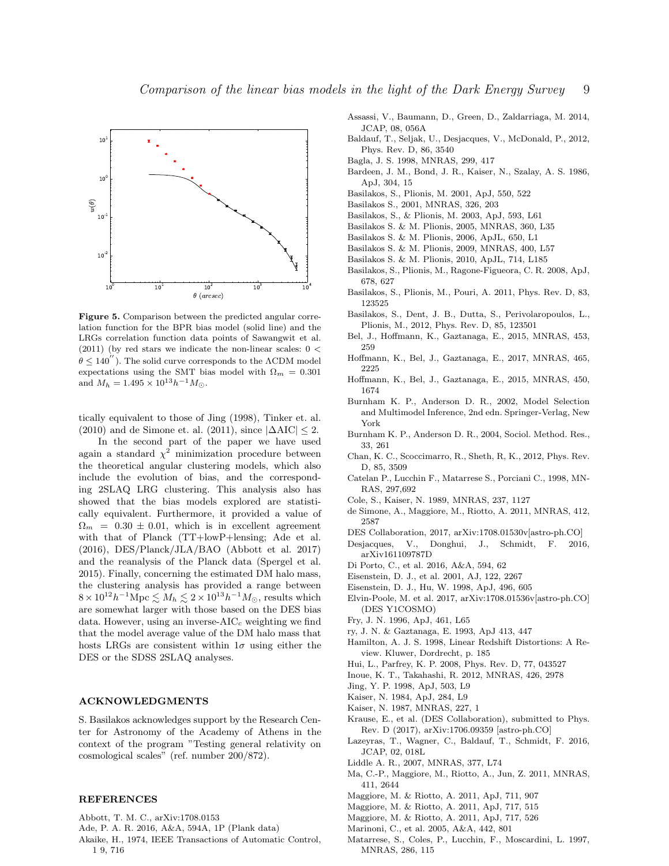

Figure 5. Comparison between the predicted angular correlation function for the BPR bias model (solid line) and the LRGs correlation function data points of Sawangwit et al. (2011) (by red stars we indicate the non-linear scales:  $0 <$  $\theta \leq 140$ <sup>"</sup>). The solid curve corresponds to the  $\Lambda$ CDM model expectations using the SMT bias model with  $\Omega_m = 0.301$ and  $M_h = 1.495 \times 10^{13} h^{-1} M_{\odot}$ .

tically equivalent to those of Jing (1998), Tinker et. al. (2010) and de Simone et. al. (2011), since  $|\Delta AIC| \leq 2$ .

In the second part of the paper we have used again a standard  $\chi^2$  minimization procedure between the theoretical angular clustering models, which also include the evolution of bias, and the corresponding 2SLAQ LRG clustering. This analysis also has showed that the bias models explored are statistically equivalent. Furthermore, it provided a value of  $\Omega_m = 0.30 \pm 0.01$ , which is in excellent agreement with that of Planck (TT+lowP+lensing; Ade et al. (2016), DES/Planck/JLA/BAO (Abbott et al. 2017) and the reanalysis of the Planck data (Spergel et al. 2015). Finally, concerning the estimated DM halo mass, the clustering analysis has provided a range between  $8 \times 10^{12} h^{-1}$ Mpc  $\lesssim M_h \lesssim 2 \times 10^{13} h^{-1} M_{\odot}$ , results which are somewhat larger with those based on the DES bias data. However, using an inverse- $AIC_c$  weighting we find that the model average value of the DM halo mass that hosts LRGs are consistent within  $1\sigma$  using either the DES or the SDSS 2SLAQ analyses.

#### ACKNOWLEDGMENTS

S. Basilakos acknowledges support by the Research Center for Astronomy of the Academy of Athens in the context of the program "Testing general relativity on cosmological scales" (ref. number 200/872).

## **REFERENCES**

- Abbott, T. M. C., arXiv:1708.0153
- Ade, P. A. R. 2016, A&A, 594A, 1P (Plank data)
- Akaike, H., 1974, IEEE Transactions of Automatic Control, 1 9, 716
- Assassi, V., Baumann, D., Green, D., Zaldarriaga, M. 2014, JCAP, 08, 056A
- Baldauf, T., Seljak, U., Desjacques, V., McDonald, P., 2012, Phys. Rev. D, 86, 3540
- Bagla, J. S. 1998, MNRAS, 299, 417
- Bardeen, J. M., Bond, J. R., Kaiser, N., Szalay, A. S. 1986, ApJ, 304, 15
- Basilakos, S., Plionis, M. 2001, ApJ, 550, 522
- Basilakos S., 2001, MNRAS, 326, 203
- Basilakos, S., & Plionis, M. 2003, ApJ, 593, L61
- Basilakos S. & M. Plionis, 2005, MNRAS, 360, L35
- Basilakos S. & M. Plionis, 2006, ApJL, 650, L1
- Basilakos S. & M. Plionis, 2009, MNRAS, 400, L57
- Basilakos S. & M. Plionis, 2010, ApJL, 714, L185
- Basilakos, S., Plionis, M., Ragone-Figueora, C. R. 2008, ApJ, 678, 627
- Basilakos, S., Plionis, M., Pouri, A. 2011, Phys. Rev. D, 83, 123525
- Basilakos, S., Dent, J. B., Dutta, S., Perivolaropoulos, L., Plionis, M., 2012, Phys. Rev. D, 85, 123501
- Bel, J., Hoffmann, K., Gaztanaga, E., 2015, MNRAS, 453, 259
- Hoffmann, K., Bel, J., Gaztanaga, E., 2017, MNRAS, 465, 2225
- Hoffmann, K., Bel, J., Gaztanaga, E., 2015, MNRAS, 450, 1674
- Burnham K. P., Anderson D. R., 2002, Model Selection and Multimodel Inference, 2nd edn. Springer-Verlag, New York
- Burnham K. P., Anderson D. R., 2004, Sociol. Method. Res., 33, 261
- Chan, K. C., Scoccimarro, R., Sheth, R, K., 2012, Phys. Rev. D, 85, 3509
- Catelan P., Lucchin F., Matarrese S., Porciani C., 1998, MN-RAS, 297,692
- Cole, S., Kaiser, N. 1989, MNRAS, 237, 1127
- de Simone, A., Maggiore, M., Riotto, A. 2011, MNRAS, 412, 2587
- DES Collaboration, 2017, arXiv:1708.01530v[astro-ph.CO]
- Desjacques, V., Donghui, J., Schmidt, F. 2016, arXiv161109787D
- Di Porto, C., et al. 2016, A&A, 594, 62
- Eisenstein, D. J., et al. 2001, AJ, 122, 2267
- Eisenstein, D. J., Hu, W. 1998, ApJ, 496, 605
- Elvin-Poole, M. et al. 2017, arXiv:1708.01536v[astro-ph.CO] (DES Y1COSMO)
- Fry, J. N. 1996, ApJ, 461, L65
- ry, J. N. & Gaztanaga, E. 1993, ApJ 413, 447
- Hamilton, A. J. S. 1998, Linear Redshift Distortions: A Review. Kluwer, Dordrecht, p. 185
- Hui, L., Parfrey, K. P. 2008, Phys. Rev. D, 77, 043527
- Inoue, K. T., Takahashi, R. 2012, MNRAS, 426, 2978
- Jing, Y. P. 1998, ApJ, 503, L9
- Kaiser, N. 1984, ApJ, 284, L9
- Kaiser, N. 1987, MNRAS, 227, 1
- Krause, E., et al. (DES Collaboration), submitted to Phys. Rev. D (2017), arXiv:1706.09359 [astro-ph.CO]
- Lazeyras, T., Wagner, C., Baldauf, T., Schmidt, F. 2016, JCAP, 02, 018L
- Liddle A. R., 2007, MNRAS, 377, L74
- Ma, C.-P., Maggiore, M., Riotto, A., Jun, Z. 2011, MNRAS, 411, 2644
- Maggiore, M. & Riotto, A. 2011, ApJ, 711, 907
- Maggiore, M. & Riotto, A. 2011, ApJ, 717, 515
- Maggiore, M. & Riotto, A. 2011, ApJ, 717, 526
- Marinoni, C., et al. 2005, A&A, 442, 801
- Matarrese, S., Coles, P., Lucchin, F., Moscardini, L. 1997, MNRAS, 286, 115